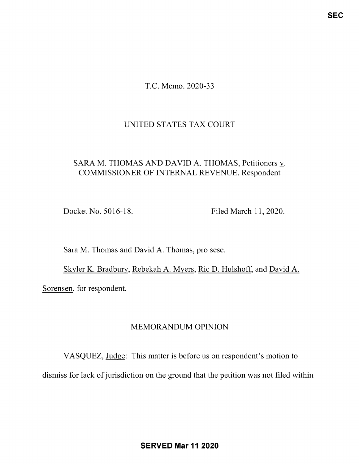T.C. Memo. 2020-33

### UNITED STATES TAX COURT

# SARA M. THOMAS AND DAVID A. THOMAS, Petitioners v. COMMISSIONER OF INTERNAL REVENUE, Respondent

Docket No. 5016-18. Filed March 11, 2020.

Sara M. Thomas and David A. Thomas, pro sese.

Skyler K. Bradbury, Rebekah A. Myers, Ric D. Hulshoff, and David A. Sorensen, for respondent.

## MEMORANDUM OPINION

VASQUEZ, Judge: This matter is before us on respondent's motion to dismiss for lack of jurisdiction on the ground that the petition was not filed within

SERVED Mar 11 2020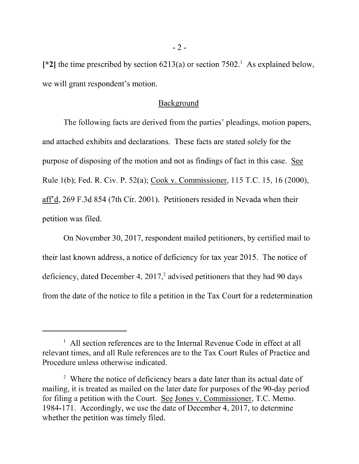[\*2] the time prescribed by section  $6213(a)$  or section  $7502<sup>1</sup>$ . As explained below, we will grant respondent's motion.

### Background

The following facts are derived from the parties' pleadings, motion papers, and attached exhibits and declarations. These facts are stated solely for the purpose of disposing of the motion and not as findings of fact in this case. See Rule 1(b); Fed. R. Civ. P. 52(a); Cook v. Commissioner, 115 T.C. 15, 16 (2000), aff'd, 269 F.3d 854 (7th Cir. 2001). Petitioners resided in Nevada when their petition was filed.

On November 30, 2017, respondent mailed petitioners, by certified mail to their last known address, <sup>a</sup> notice of deficiency for tax year 2015. The notice of deficiency, dated December 4, 2017,<sup>2</sup> advised petitioners that they had 90 days from the date of the notice to file <sup>a</sup> petition in the Tax Court for <sup>a</sup> redetermination

 $\frac{1}{1}$  All section references are to the Internal Revenue Code in effect at all relevant times, and all Rule references are to the Tax Court Rules of Practice and Procedure unless otherwise indicated.

<sup>&</sup>lt;sup>2</sup> Where the notice of deficiency bears a date later than its actual date of mailing, it is treated as mailed on the later date for purposes of the 90-day period for filing a petition with the Court. See Jones v. Commissioner, T.C. Memo. 1984-171. Accordingly, we use the date of December 4, 2017, to determine whether the petition was timely filed.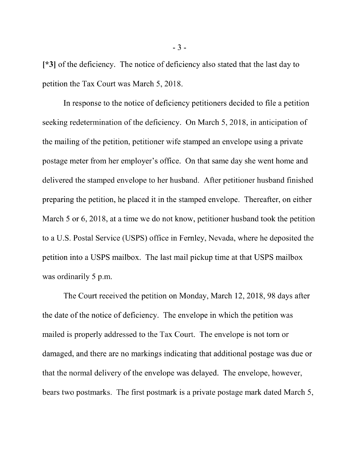[\*3] of the deficiency. The notice of deficiency also stated that the last day to petition the Tax Court was March 5, 2018.

In response to the notice of deficiency petitioners decided to file <sup>a</sup> petition seeking redetermination of the deficiency. On March 5, 2018, in anticipation of the mailing of the petition, petitioner wife stamped an envelope using a private postage meter from her employer's office. On that same day she went home and delivered the stamped envelope to her husband. After petitioner husband finished preparing the petition, he placed it in the stamped envelope. Thereafter, on either March 5 or 6, 2018, at a time we do not know, petitioner husband took the petition to a U.S. Postal Service (USPS) office in Fernley, Nevada, where he deposited the petition into a USPS mailbox. The last mail pickup time at that USPS mailbox was ordinarily 5 p.m.

The Court received the petition on Monday, March 12, 2018, 98 days after the date of the notice of deficiency. The envelope in which the petition was mailed is properly addressed to the Tax Court. The envelope is not torn or damaged, and there are no markings indicating that additional postage was due or that the normal delivery of the envelope was delayed. The envelope, however, bears two postmarks. The first postmark is a private postage mark dated March 5,

- 3 -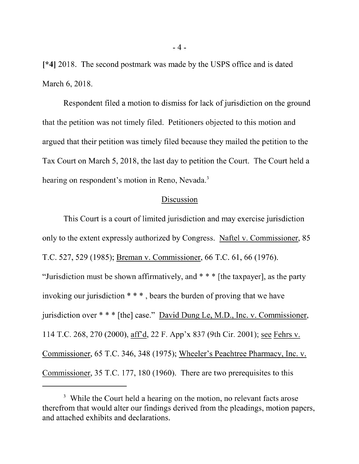[\*4] 2018. The second postmark was made by the USPS office and is dated March 6, 2018.

Respondent filed a motion to dismiss for lack of jurisdiction on the ground that the petition was not timely filed. Petitioners objected to this motion and argued that their petition was timely filed because they mailed the petition to the Tax Court on March 5, 2018, the last day to petition the Court. The Court held a hearing on respondent's motion in Reno, Nevada.<sup>3</sup>

#### Discussion

This Court is <sup>a</sup> court of limited jurisdiction and may exercise jurisdiction only to the extent expressly authorized by Congress. Naftel v. Commissioner, 85 T.C. 527, 529 (1985); Breman v. Commissioner, 66 T.C. 61, 66 (1976). "Jurisdiction must be shown affirmatively, and \* \* \* [the taxpayer], as the party invoking our jurisdiction \* \* \* , bears the burden of proving that we have jurisdiction over \* \* \* [the] case." David Dung Le, M.D., Inc. v. Commissioner, 114 T.C. 268, 270 (2000), aff'd, 22 F. App'x 837 (9th Cir. 2001); see Fehrs v. Commissioner, 65 T.C. 346, 348 (1975); Wheeler's Peachtree Pharmacy, Inc. v. Commissioner, 35 T.C. 177, 180 (1960). There are two prerequisites to this

<sup>&</sup>lt;sup>3</sup> While the Court held a hearing on the motion, no relevant facts arose therefrom that would alter our findings derived from the pleadings, motion papers, and attached exhibits and declarations.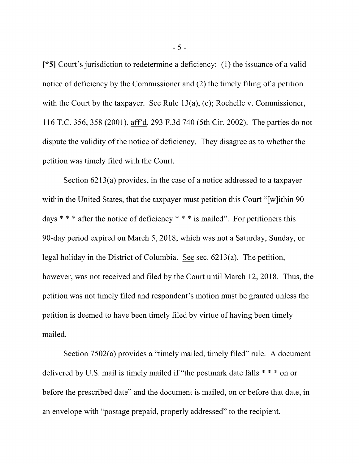[\*5] Court's jurisdiction to redetermine <sup>a</sup> deficiency: (1) the issuance of <sup>a</sup> valid notice of deficiency by the Commissioner and (2) the timely filing of <sup>a</sup> petition with the Court by the taxpayer. See Rule 13(a), (c); Rochelle v. Commissioner, <sup>116</sup> T.C. 356, 358 (2001), affd, 293 F.3d 740 (5th Cir. 2002). The parties do not dispute the validity of the notice of deficiency. They disagree as to whether the petition was timely filed with the Court.

Section 6213(a) provides, in the case of <sup>a</sup> notice addressed to <sup>a</sup> taxpayer within the United States, that the taxpayer must petition this Court "[w]ithin 90 days  $* * *$  after the notice of deficiency  $* * *$  is mailed". For petitioners this 90-day period expired on March 5, 2018, which was not a Saturday, Sunday, or legal holiday in the District of Columbia. See sec. 6213(a). The petition, however, was not received and filed by the Court until March 12, 2018. Thus, the petition was not timely filed and respondent's motion must be granted unless the petition is deemed to have been timely filed by virtue of having been timely mailed.

Section 7502(a) provides <sup>a</sup> "timely mailed, timely filed" rule. A document delivered by U.S. mail is timely mailed if "the postmark date falls  $***$  on or before the prescribed date" and the document is mailed, on or before that date, in an envelope with "postage prepaid, properly addressed" to the recipient.

- 5 -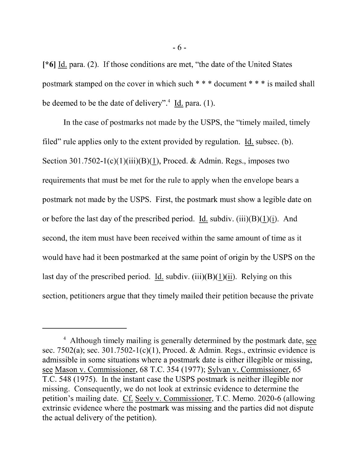$\lceil *6 \rceil$  Id. para. (2). If those conditions are met, "the date of the United States postmark stamped on the cover in which such \* \* \* document \* \* \* is mailed shall be deemed to be the date of delivery".<sup>4</sup> Id. para.  $(1)$ .

In the case of postmarks not made by the USPS, the "timely mailed, timely filed" rule applies only to the extent provided by regulation. Id. subsec.  $(b)$ . Section  $301.7502 - 1(c)(1)(iii)(B)(1)$ , Proced. & Admin. Regs., imposes two requirements that must be met for the rule to apply when the envelope bears a postmark not made by the USPS. First, the postmark must show a legible date on or before the last day of the prescribed period. Id. subdiv. (iii)(B)(1)(i). And second, the item must have been received within the same amount of time as it would have had it been postmarked at the same point of origin by the USPS on the last day of the prescribed period. Id. subdiv. (iii)(B)(1)(ii). Relying on this section, petitioners argue that they timely mailed their petition because the private

<sup>&</sup>lt;sup>4</sup> Although timely mailing is generally determined by the postmark date, see sec. 7502(a); sec. 301.7502-1(c)(1), Proced. & Admin. Regs., extrinsic evidence is admissible in some situations where a postmark date is either illegible or missing, see Mason v. Commissioner, 68 T.C. 354 (1977); Sylvan v. Commissioner, 65 T.C. 548 (1975). In the instant case the USPS postmark is neither illegible nor missing. Consequently, we do not look at extrinsic evidence to determine the petition's mailing date. Cf Seely v. Commissioner, T.C. Memo. 2020-6 (allowing extrinsic evidence where the postmark was missing and the parties did not dispute the actual delivery of the petition).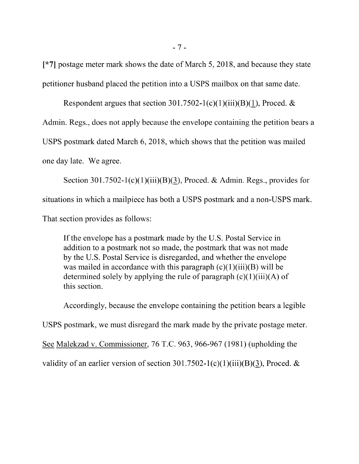[\*7] postage meter mark shows the date of March 5, 2018, and because they state petitioner husband placed the petition into a USPS mailbox on that same date.

Respondent argues that section 301.7502-1(c)(1)(iii)(B)(1), Proced.  $&$ Admin. Regs., does not apply because the envelope containing the petition bears a USPS postmark dated March 6, 2018, which shows that the petition was mailed one day late. We agree.

Section 301.7502-1(c)(1)(iii)(B)(3), Proced. & Admin. Regs., provides for situations in which a mailpiece has both a USPS postmark and a non-USPS mark. That section provides as follows:

If the envelope has a postmark made by the U.S. Postal Service in addition to a postmark not so made, the postmark that was not made by the U.S. Postal Service is disregarded, and whether the envelope was mailed in accordance with this paragraph  $(c)(1)(iii)(B)$  will be determined solely by applying the rule of paragraph  $(c)(1)(iii)(A)$  of this section.

Accordingly, because the envelope containing the petition bears a legible USPS postmark, we must disregard the mark made by the private postage meter. See Malekzad v. Commissioner, 76 T.C. 963, 966-967 (1981) (upholding the validity of an earlier version of section  $301.7502 - 1(c)(1)(iii)(B)(3)$ , Proced. &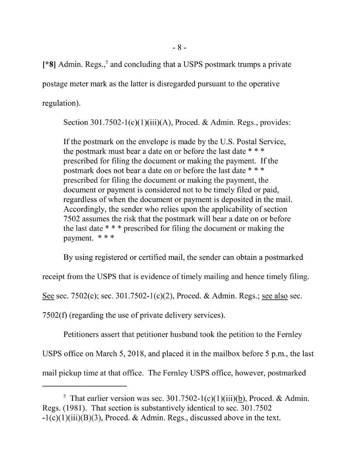$[$ \*8] Admin. Regs.,<sup>5</sup> and concluding that a USPS postmark trumps a private postage meter mark as the latter is disregarded pursuant to the operative regulation).

Section 301.7502-1(c)(1)(iii)(A), Proced. & Admin. Regs., provides:

If the postmark on the envelope is made by the U.S. Postal Service, the postmark must bear a date on or before the last date \* \* \* prescribed for filing the document or making the payment. If the postmark does not bear a date on or before the last date \* \* \* prescribed for filing the document or making the payment, the document or payment is considered not to be timely filed or paid, regardless of when the document or payment is deposited in the mail. Accordingly, the sender who relies upon the applicability of section 7502 assumes the risk that the postmark will bear <sup>a</sup> date on or before the last date \* \* \* prescribed for filing the document or making the payment. \* \* \*

By using registered or certified mail, the sender can obtain a postmarked

receipt from the USPS that is evidence of timely mailing and hence timely filing.

See sec. 7502(c); sec. 301.7502-1(c)(2), Proced. & Admin. Regs.; see also sec.

7502(f) (regarding the use of private delivery services).

Petitioners assert that petitioner husband took the petition to the Fernley USPS office on March 5, 2018, and placed it in the mailbox before 5 p.m., the last mail pickup time at that office. The Fernley USPS office, however, postmarked

<sup>&</sup>lt;sup>5</sup> That earlier version was sec. 301.7502-1(c)(1)(iii)(b), Proced. & Admin. Regs. (1981). That section is substantively identical to sec. 301.7502  $-1(c)(1)(iii)(B)(3)$ , Proced. & Admin. Regs., discussed above in the text.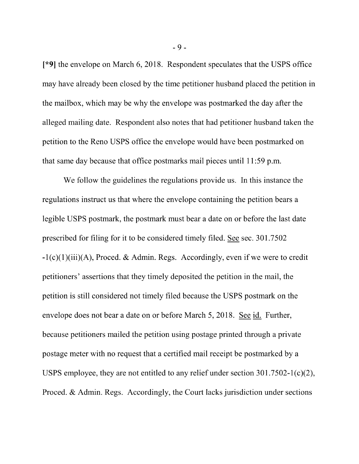[\*9] the envelope on March 6, 2018. Respondent speculates that the USPS office may have already been closed by the time petitioner husband placed the petition in the mailbox, which may be why the envelope was postmarked the day after the alleged mailing date. Respondent also notes that had petitioner husband taken the petition to the Reno USPS office the envelope would have been postmarked on that same day because that office postmarks mail pieces until 11:59 p.m.

We follow the guidelines the regulations provide us. In this instance the regulations instruct us that where the envelope containing the petition bears a legible USPS postmark, the postmark must bear a date on or before the last date prescribed for filing for it to be considered timely filed. See sec. 301.7502  $-1(c)(1)(iii)(A)$ , Proced. & Admin. Regs. Accordingly, even if we were to credit petitioners' assertions that they timely deposited the petition in the mail, the petition is still considered not timely filed because the USPS postmark on the envelope does not bear a date on or before March 5, 2018. See id. Further, because petitioners mailed the petition using postage printed through a private postage meter with no request that a certified mail receipt be postmarked by a USPS employee, they are not entitled to any relief under section 301.7502-1(c)(2), Proced. & Admin. Regs. Accordingly, the Court lacks jurisdiction under sections

- 9 -